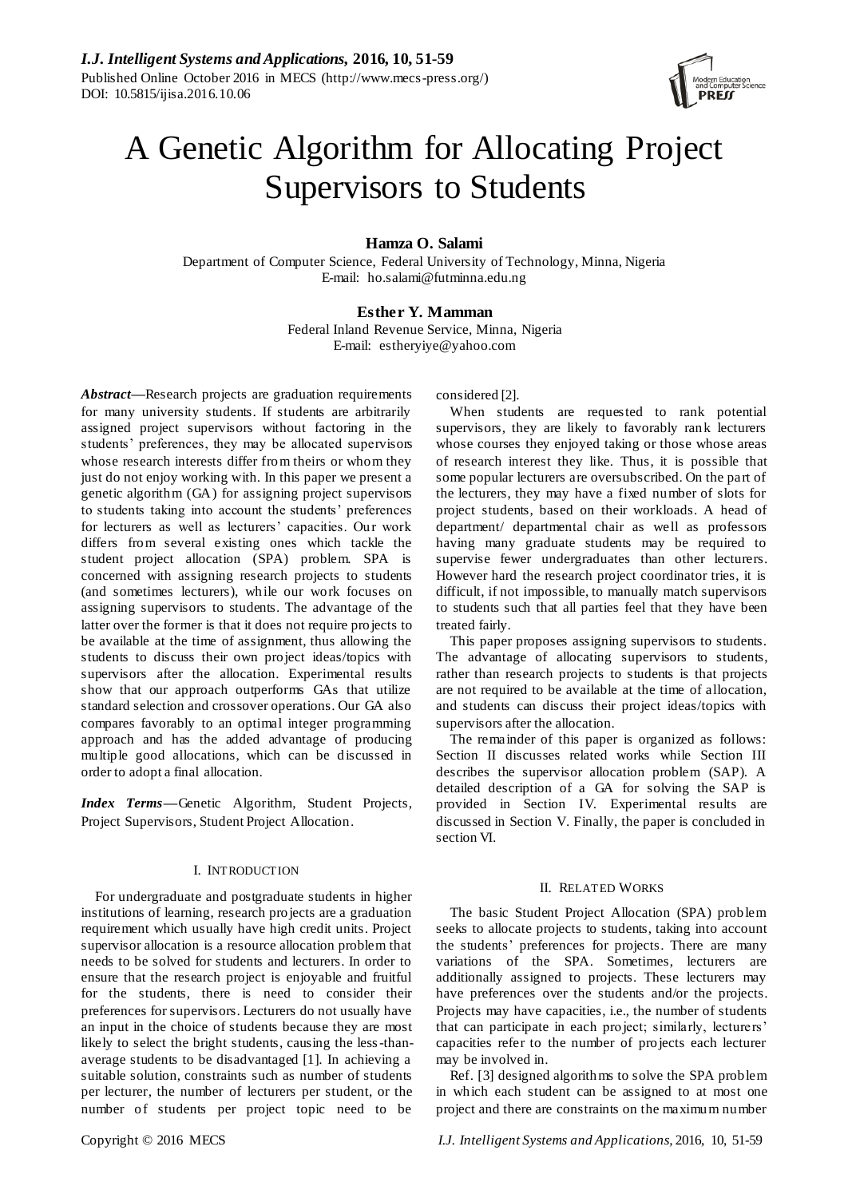

# A Genetic Algorithm for Allocating Project Supervisors to Students

# **Hamza O. Salami**

Department of Computer Science, Federal University of Technology, Minna, Nigeria E-mail: ho.salami@futminna.edu.ng

# **Esther Y. Mamman**

Federal Inland Revenue Service, Minna, Nigeria E-mail: estheryiye@yahoo.com

*Abstract***—**Research projects are graduation requirements for many university students. If students are arbitrarily assigned project supervisors without factoring in the students' preferences, they may be allocated supervisors whose research interests differ from theirs or whom they just do not enjoy working with. In this paper we present a genetic algorithm (GA) for assigning project supervisors to students taking into account the students' preferences for lecturers as well as lecturers' capacities. Our work differs from several existing ones which tackle the student project allocation (SPA) problem. SPA is concerned with assigning research projects to students (and sometimes lecturers), while our work focuses on assigning supervisors to students. The advantage of the latter over the former is that it does not require projects to be available at the time of assignment, thus allowing the students to discuss their own project ideas/topics with supervisors after the allocation. Experimental results show that our approach outperforms GAs that utilize standard selection and crossover operations. Our GA also compares favorably to an optimal integer programming approach and has the added advantage of producing multiple good allocations, which can be discussed in order to adopt a final allocation.

*Index Terms***—**Genetic Algorithm, Student Projects, Project Supervisors, Student Project Allocation.

# I. INTRODUCTION

For undergraduate and postgraduate students in higher institutions of learning, research projects are a graduation requirement which usually have high credit units. Project supervisor allocation is a resource allocation problem that needs to be solved for students and lecturers. In order to ensure that the research project is enjoyable and fruitful for the students, there is need to consider their preferences for supervisors. Lecturers do not usually have an input in the choice of students because they are most likely to select the bright students, causing the less-thanaverage students to be disadvantaged [1]. In achieving a suitable solution, constraints such as number of students per lecturer, the number of lecturers per student, or the number of students per project topic need to be considered [2].

When students are requested to rank potential supervisors, they are likely to favorably rank lecturers whose courses they enjoyed taking or those whose areas of research interest they like. Thus, it is possible that some popular lecturers are oversubscribed. On the part of the lecturers, they may have a fixed number of slots for project students, based on their workloads. A head of department/ departmental chair as well as professors having many graduate students may be required to supervise fewer undergraduates than other lecturers. However hard the research project coordinator tries, it is difficult, if not impossible, to manually match supervisors to students such that all parties feel that they have been treated fairly.

This paper proposes assigning supervisors to students. The advantage of allocating supervisors to students, rather than research projects to students is that projects are not required to be available at the time of allocation, and students can discuss their project ideas/topics with supervisors after the allocation.

The remainder of this paper is organized as follows: Section II discusses related works while Section III describes the supervisor allocation problem (SAP). A detailed description of a GA for solving the SAP is provided in Section IV. Experimental results are discussed in Section V. Finally, the paper is concluded in section VI.

## II. RELATED WORKS

The basic Student Project Allocation (SPA) problem seeks to allocate projects to students, taking into account the students' preferences for projects. There are many variations of the SPA. Sometimes, lecturers are additionally assigned to projects. These lecturers may have preferences over the students and/or the projects. Projects may have capacities, i.e., the number of students that can participate in each project; similarly, lecturers' capacities refer to the number of projects each lecturer may be involved in.

Ref. [3] designed algorithms to solve the SPA problem in which each student can be assigned to at most one project and there are constraints on the maximum number

Copyright © 2016 MECS *I.J. Intelligent Systems and Applications,* 2016, 10, 51-59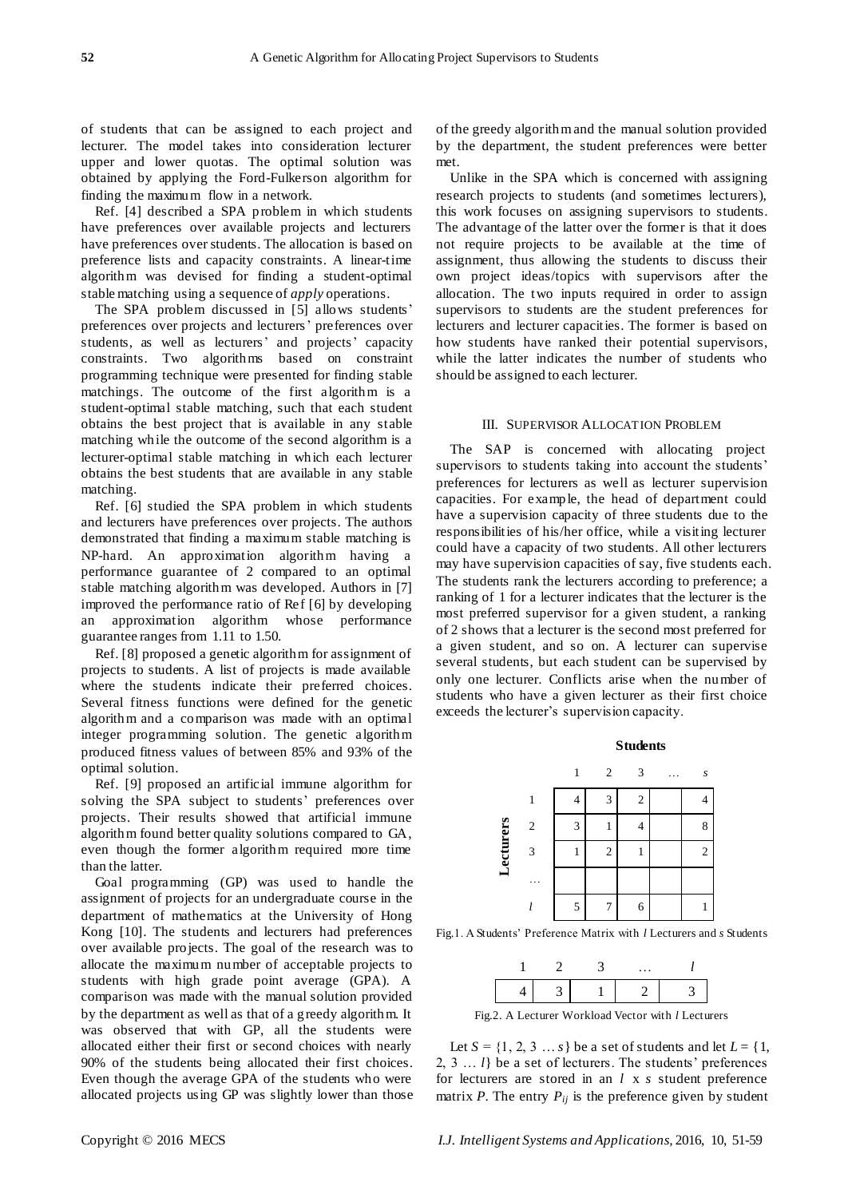of students that can be assigned to each project and lecturer. The model takes into consideration lecturer upper and lower quotas. The optimal solution was obtained by applying the Ford-Fulkerson algorithm for finding the maximum flow in a network.

Ref. [4] described a SPA problem in which students have preferences over available projects and lecturers have preferences over students. The allocation is based on preference lists and capacity constraints. A linear-time algorithm was devised for finding a student-optimal stable matching using a sequence of *apply* operations.

The SPA problem discussed in [5] allows students' preferences over projects and lecturers' preferences over students, as well as lecturers' and projects' capacity constraints. Two algorithms based on constraint programming technique were presented for finding stable matchings. The outcome of the first algorithm is a student-optimal stable matching, such that each student obtains the best project that is available in any stable matching while the outcome of the second algorithm is a lecturer-optimal stable matching in which each lecturer obtains the best students that are available in any stable matching.

Ref. [6] studied the SPA problem in which students and lecturers have preferences over projects. The authors demonstrated that finding a maximum stable matching is NP-hard. An approximation algorithm having a performance guarantee of 2 compared to an optimal stable matching algorithm was developed. Authors in [7] improved the performance ratio of Ref [6] by developing an approximation algorithm whose performance guarantee ranges from 1.11 to 1.50.

Ref. [8] proposed a genetic algorithm for assignment of projects to students. A list of projects is made available where the students indicate their preferred choices. Several fitness functions were defined for the genetic algorithm and a comparison was made with an optimal integer programming solution. The genetic algorithm produced fitness values of between 85% and 93% of the optimal solution.

Ref. [9] proposed an artificial immune algorithm for solving the SPA subject to students' preferences over projects. Their results showed that artificial immune algorithm found better quality solutions compared to GA, even though the former algorithm required more time than the latter.

Goal programming (GP) was used to handle the assignment of projects for an undergraduate course in the department of mathematics at the University of Hong Kong [10]. The students and lecturers had preferences over available projects. The goal of the research was to allocate the maximum number of acceptable projects to students with high grade point average (GPA). A comparison was made with the manual solution provided by the department as well as that of a greedy algorithm. It was observed that with GP, all the students were allocated either their first or second choices with nearly 90% of the students being allocated their first choices. Even though the average GPA of the students who were allocated projects using GP was slightly lower than those of the greedy algorithm and the manual solution provided by the department, the student preferences were better met.

Unlike in the SPA which is concerned with assigning research projects to students (and sometimes lecturers), this work focuses on assigning supervisors to students. The advantage of the latter over the former is that it does not require projects to be available at the time of assignment, thus allowing the students to discuss their own project ideas/topics with supervisors after the allocation. The two inputs required in order to assign supervisors to students are the student preferences for lecturers and lecturer capacities. The former is based on how students have ranked their potential supervisors, while the latter indicates the number of students who should be assigned to each lecturer.

#### III. SUPERVISOR ALLOCATION PROBLEM

The SAP is concerned with allocating project supervisors to students taking into account the students' preferences for lecturers as well as lecturer supervision capacities. For example, the head of department could have a supervision capacity of three students due to the responsibilities of his/her office, while a visiting lecturer could have a capacity of two students. All other lecturers may have supervision capacities of say, five students each. The students rank the lecturers according to preference; a ranking of 1 for a lecturer indicates that the lecturer is the most preferred supervisor for a given student, a ranking of 2 shows that a lecturer is the second most preferred for a given student, and so on. A lecturer can supervise several students, but each student can be supervised by only one lecturer. Conflicts arise when the number of students who have a given lecturer as their first choice exceeds the lecturer's supervision capacity.





Fig.1. A Students' Preference Matrix with *l* Lecturers and *s* Students



Fig.2. A Lecturer Workload Vector with *l* Lecturers

Let  $S = \{1, 2, 3, \ldots s\}$  be a set of students and let  $L = \{1, 2, 3, \ldots s\}$ 2, 3 … *l*} be a set of lecturers. The students' preferences for lecturers are stored in an *l* x *s* student preference matrix *P*. The entry  $P_{ij}$  is the preference given by student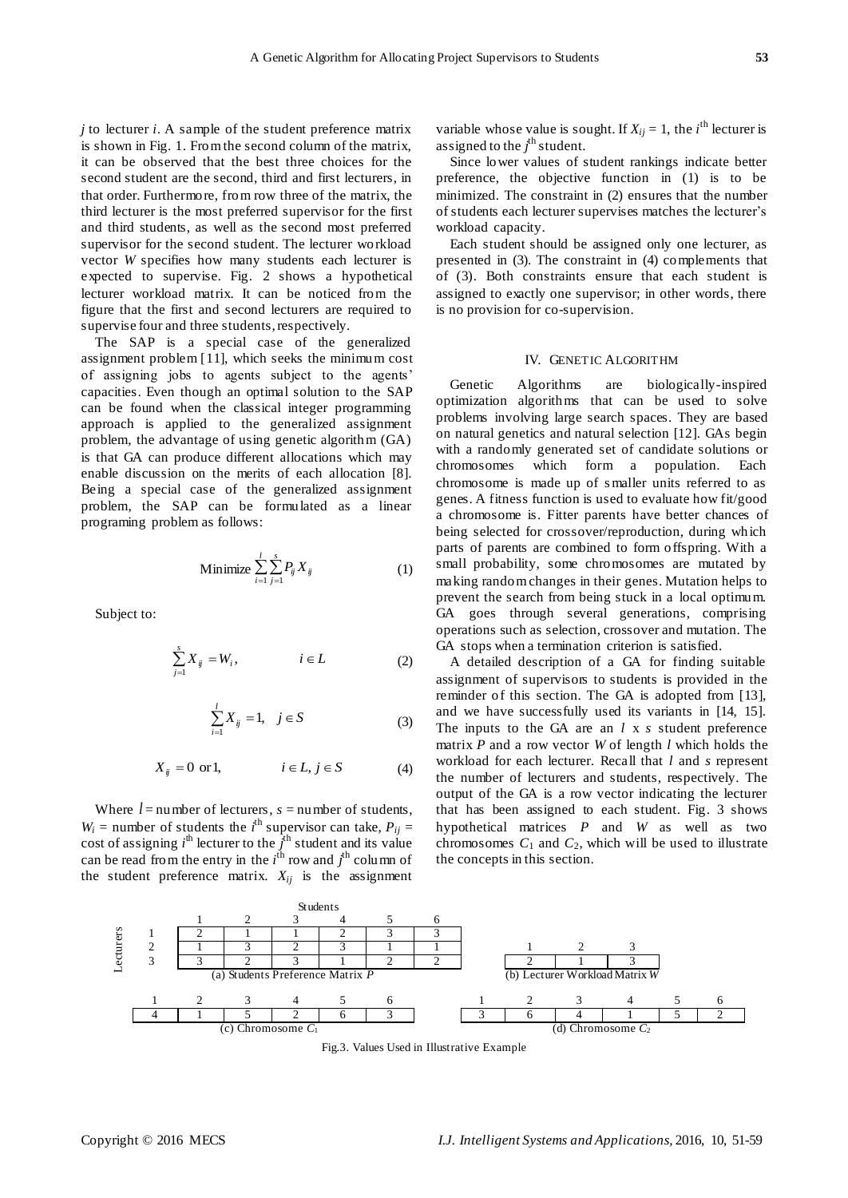*j* to lecturer *i*. A sample of the student preference matrix is shown in Fig. 1. From the second column of the matrix, it can be observed that the best three choices for the second student are the second, third and first lecturers, in that order. Furthermore, from row three of the matrix, the third lecturer is the most preferred supervisor for the first and third students, as well as the second most preferred supervisor for the second student. The lecturer workload vector *W* specifies how many students each lecturer is expected to supervise. Fig. 2 shows a hypothetical lecturer workload matrix. It can be noticed from the figure that the first and second lecturers are required to supervise four and three students, respectively.

The SAP is a special case of the generalized assignment problem [11], which seeks the minimum cost of assigning jobs to agents subject to the agents' capacities. Even though an optimal solution to the SAP can be found when the classical integer programming approach is applied to the generalized assignment problem, the advantage of using genetic algorithm (GA) is that GA can produce different allocations which may enable discussion on the merits of each allocation [8]. Being a special case of the generalized assignment problem, the SAP can be formulated as a linear programing problem as follows:

$$
\text{Minimize } \sum_{i=1}^{l} \sum_{j=1}^{s} P_{ij} X_{ij} \tag{1}
$$

Subject to:

$$
\sum_{j=1}^{s} X_{ij} = W_i, \qquad i \in L \tag{2}
$$

$$
\sum_{i=1}^{l} X_{ij} = 1, \quad j \in S
$$
 (3)

$$
X_{ij} = 0 \text{ or } 1, \qquad i \in L, j \in S \tag{4}
$$

Where  $l =$  number of lecturers,  $s =$  number of students,  $W_i$  = number of students the *i*<sup>th</sup> supervisor can take,  $P_{ij}$  = cost of assigning  $i^{\text{th}}$  lecturer to the  $\hat{j}^{\text{th}}$  student and its value can be read from the entry in the  $i^{\text{th}}$  row and  $j^{\text{th}}$  column of the student preference matrix.  $X_{ij}$  is the assignment

variable whose value is sought. If  $X_{ij} = 1$ , the *i*<sup>th</sup> lecturer is assigned to the  $j^{\text{th}}$  student.

Since lower values of student rankings indicate better preference, the objective function in (1) is to be minimized. The constraint in (2) ensures that the number of students each lecturer supervises matches the lecturer's workload capacity.

Each student should be assigned only one lecturer, as presented in (3). The constraint in (4) complements that of (3). Both constraints ensure that each student is assigned to exactly one supervisor; in other words, there is no provision for co-supervision.

#### IV. GENETIC ALGORITHM

Genetic Algorithms are biologically-inspired optimization algorithms that can be used to solve problems involving large search spaces. They are based on natural genetics and natural selection [12]. GAs begin with a randomly generated set of candidate solutions or chromosomes which form a population. Each chromosome is made up of s maller units referred to as genes. A fitness function is used to evaluate how fit/good a chromosome is. Fitter parents have better chances of being selected for crossover/reproduction, during which parts of parents are combined to form offspring. With a small probability, some chromosomes are mutated by making random changes in their genes. Mutation helps to prevent the search from being stuck in a local optimum. GA goes through several generations, comprising operations such as selection, crossover and mutation. The GA stops when a termination criterion is satisfied.

A detailed description of a GA for finding suitable assignment of supervisors to students is provided in the reminder of this section. The GA is adopted from [13], and we have successfully used its variants in [14, 15]. The inputs to the GA are an *l* x *s* student preference matrix *P* and a row vector *W* of length *l* which holds the workload for each lecturer. Recall that *l* and *s* represent the number of lecturers and students, respectively. The output of the GA is a row vector indicating the lecturer that has been assigned to each student. Fig. 3 shows hypothetical matrices *P* and *W* as well as two chromosomes  $C_1$  and  $C_2$ , which will be used to illustrate the concepts in this section.



Fig.3. Values Used in Illustrative Example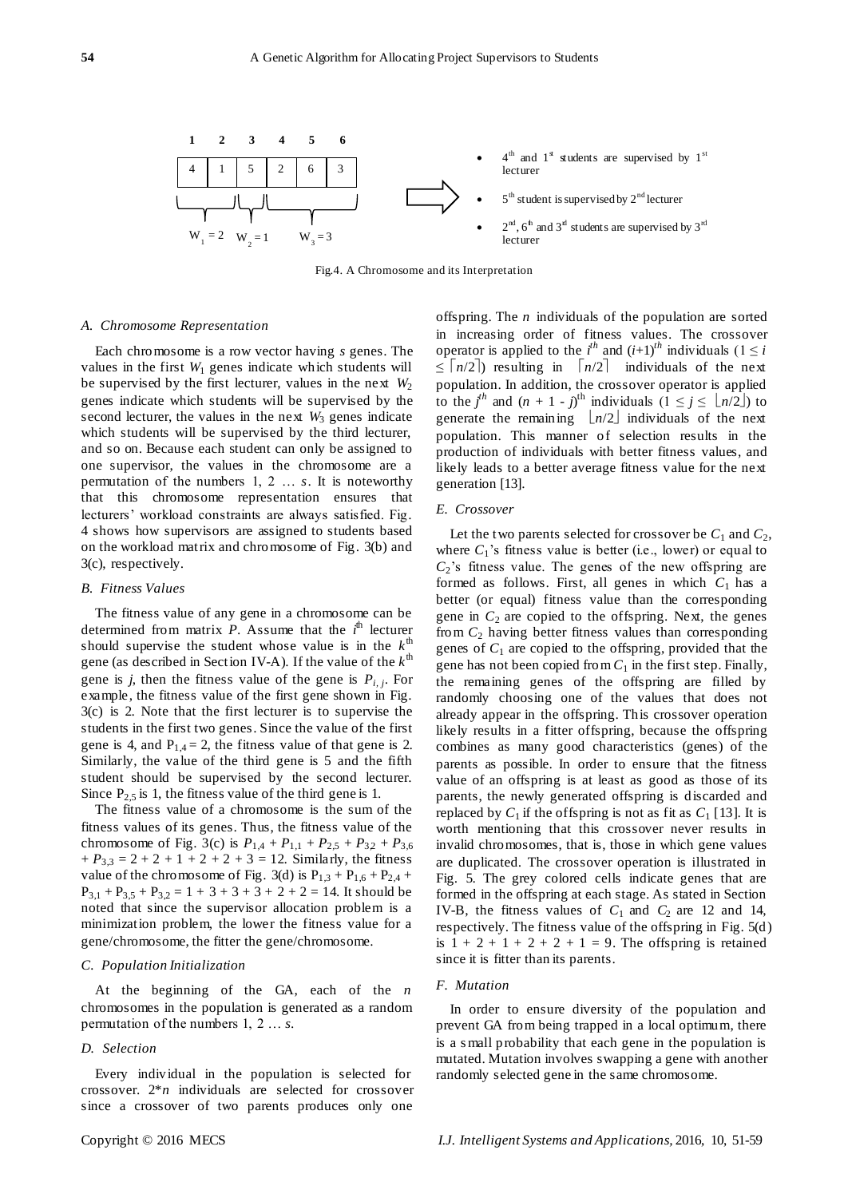

Fig.4. A Chromosome and its Interpretation

#### *A. Chromosome Representation*

Each chromosome is a row vector having *s* genes. The values in the first  $W_1$  genes indicate which students will be supervised by the first lecturer, values in the next  $W_2$ genes indicate which students will be supervised by the second lecturer, the values in the next  $W_3$  genes indicate which students will be supervised by the third lecturer, and so on. Because each student can only be assigned to one supervisor, the values in the chromosome are a permutation of the numbers 1, 2 … *s*. It is noteworthy that this chromosome representation ensures that lecturers' workload constraints are always satisfied. Fig. 4 shows how supervisors are assigned to students based on the workload matrix and chromosome of Fig. 3(b) and 3(c), respectively.

## *B. Fitness Values*

The fitness value of any gene in a chromosome can be determined from matrix *P*. Assume that the  $i^{\text{th}}$  lecturer should supervise the student whose value is in the  $k^{\text{th}}$ gene (as described in Section IV-A). If the value of the  $k^{\text{th}}$ gene is *j*, then the fitness value of the gene is *Pi, j*. For example, the fitness value of the first gene shown in Fig. 3(c) is 2. Note that the first lecturer is to supervise the students in the first two genes. Since the value of the first gene is 4, and  $P_{1,4} = 2$ , the fitness value of that gene is 2. Similarly, the value of the third gene is 5 and the fifth student should be supervised by the second lecturer. Since  $P_{2,5}$  is 1, the fitness value of the third gene is 1.

The fitness value of a chromosome is the sum of the fitness values of its genes. Thus, the fitness value of the chromosome of Fig. 3(c) is  $P_{1,4} + P_{1,1} + P_{2,5} + P_{3,2} + P_{3,6}$  $+ P_{3,3} = 2 + 2 + 1 + 2 + 2 + 3 = 12$ . Similarly, the fitness value of the chromosome of Fig. 3(d) is  $P_{1,3} + P_{1,6} + P_{2,4} +$  $P_{3,1} + P_{3,5} + P_{3,2} = 1 + 3 + 3 + 3 + 2 + 2 = 14$ . It should be noted that since the supervisor allocation problem is a minimization problem, the lower the fitness value for a gene/chromosome, the fitter the gene/chromosome.

# *C. Population Initialization*

At the beginning of the GA, each of the *n* chromosomes in the population is generated as a random permutation of the numbers 1, 2 … *s*.

#### *D. Selection*

Every individual in the population is selected for crossover. 2\**n* individuals are selected for crossover since a crossover of two parents produces only one offspring. The *n* individuals of the population are sorted in increasing order of fitness values. The crossover operator is applied to the  $i^{th}$  and  $(i+1)^{th}$  individuals  $(1 \leq i)$  $\leq \lceil n/2 \rceil$  resulting in  $\lceil n/2 \rceil$  individuals of the next population. In addition, the crossover operator is applied to the  $j^h$  and  $(n + 1 - j)^{th}$  individuals  $(1 \le j \le \lfloor n/2 \rfloor)$  to generate the remaining  $\lfloor n/2 \rfloor$  individuals of the next population. This manner of selection results in the production of individuals with better fitness values, and likely leads to a better average fitness value for the next generation [13].

#### *E. Crossover*

Let the two parents selected for crossover be  $C_1$  and  $C_2$ , where  $C_1$ 's fitness value is better (i.e., lower) or equal to  $C_2$ 's fitness value. The genes of the new offspring are formed as follows. First, all genes in which  $C_1$  has a better (or equal) fitness value than the corresponding gene in  $C_2$  are copied to the offspring. Next, the genes from *C*<sup>2</sup> having better fitness values than corresponding genes of  $C_1$  are copied to the offspring, provided that the gene has not been copied from  $C_1$  in the first step. Finally, the remaining genes of the offspring are filled by randomly choosing one of the values that does not already appear in the offspring. This crossover operation likely results in a fitter offspring, because the offspring combines as many good characteristics (genes) of the parents as possible. In order to ensure that the fitness value of an offspring is at least as good as those of its parents, the newly generated offspring is discarded and replaced by  $C_1$  if the offspring is not as fit as  $C_1$  [13]. It is worth mentioning that this crossover never results in invalid chromosomes, that is, those in which gene values are duplicated. The crossover operation is illustrated in Fig. 5. The grey colored cells indicate genes that are formed in the offspring at each stage. As stated in Section IV-B, the fitness values of  $C_1$  and  $C_2$  are 12 and 14, respectively. The fitness value of the offspring in Fig. 5(d) is  $1 + 2 + 1 + 2 + 2 + 1 = 9$ . The offspring is retained since it is fitter than its parents.

#### *F. Mutation*

In order to ensure diversity of the population and prevent GA from being trapped in a local optimum, there is a s mall probability that each gene in the population is mutated. Mutation involves swapping a gene with another randomly selected gene in the same chromosome.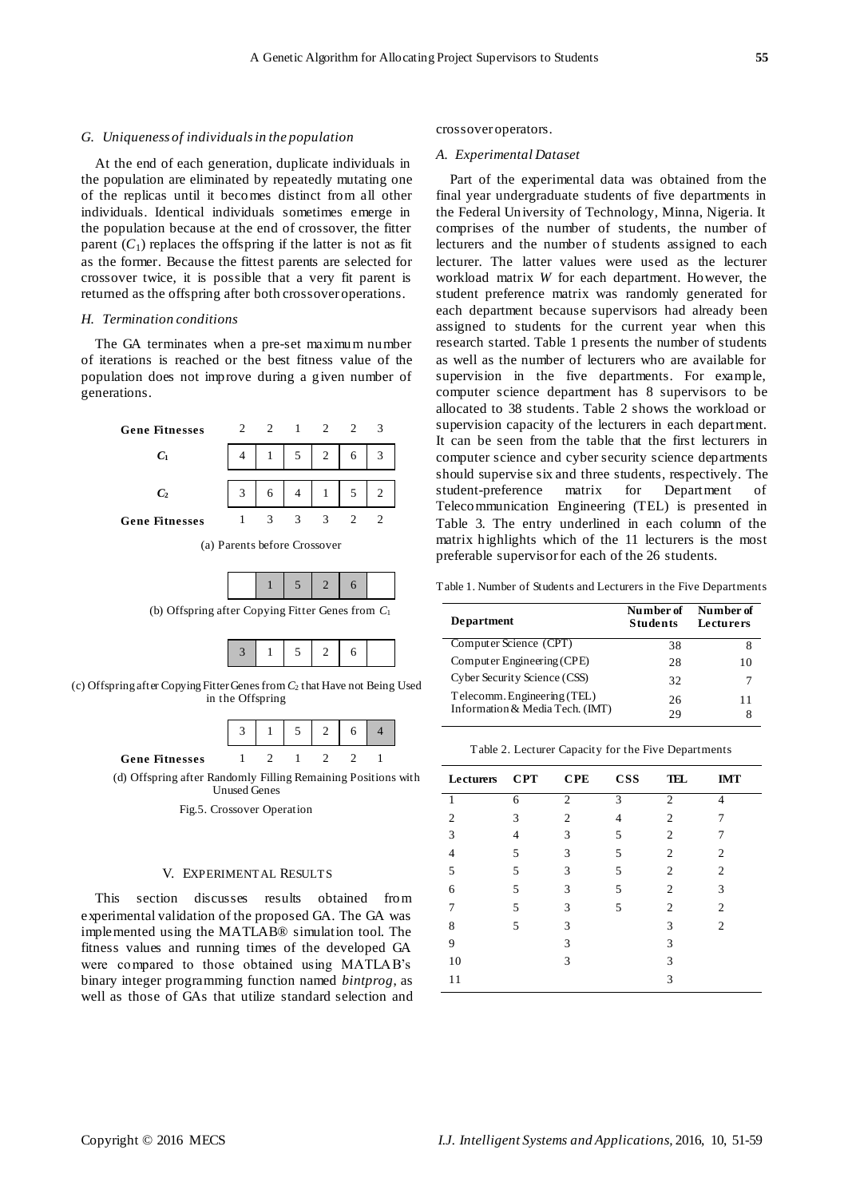#### *G. Uniqueness of individuals in the population*

At the end of each generation, duplicate individuals in the population are eliminated by repeatedly mutating one of the replicas until it becomes distinct from all other individuals. Identical individuals sometimes emerge in the population because at the end of crossover, the fitter parent  $(C_1)$  replaces the offspring if the latter is not as fit as the former. Because the fittest parents are selected for crossover twice, it is possible that a very fit parent is returned as the offspring after both crossover operations.

## *H. Termination conditions*

The GA terminates when a pre-set maximum number of iterations is reached or the best fitness value of the population does not improve during a given number of generations.



(a) Parents before Crossover



(b) Offspring after Copying Fitter Genes from *C*<sup>1</sup>

|--|--|--|

(c) Offspring after Copying Fitter Genes from *C*<sup>2</sup> that Have not Being Used in the Offspring



(d) Offspring after Randomly Filling Remaining Positions with Unused Genes

#### V. EXPERIMENTAL RESULTS

This section discusses results obtained from experimental validation of the proposed GA. The GA was implemented using the MATLAB® simulation tool. The fitness values and running times of the developed GA were compared to those obtained using MATLAB's binary integer programming function named *bintprog*, as well as those of GAs that utilize standard selection and

#### crossover operators.

#### *A. Experimental Dataset*

Part of the experimental data was obtained from the final year undergraduate students of five departments in the Federal University of Technology, Minna, Nigeria. It comprises of the number of students, the number of lecturers and the number of students assigned to each lecturer. The latter values were used as the lecturer workload matrix *W* for each department. However, the student preference matrix was randomly generated for each department because supervisors had already been assigned to students for the current year when this research started. Table 1 presents the number of students as well as the number of lecturers who are available for supervision in the five departments. For example, computer science department has 8 supervisors to be allocated to 38 students. Table 2 shows the workload or supervision capacity of the lecturers in each department. It can be seen from the table that the first lecturers in computer science and cyber security science departments should supervise six and three students, respectively. The student-preference matrix for Department of Telecommunication Engineering (TEL) is presented in Table 3. The entry underlined in each column of the matrix highlights which of the 11 lecturers is the most preferable supervisor for each of the 26 students.

Table 1. Number of Students and Lecturers in the Five Departments

| <b>Department</b>               | Number of<br><b>Students</b> | Number of<br>Lecturers |
|---------------------------------|------------------------------|------------------------|
| Computer Science (CPT)          | 38                           | x                      |
| Computer Engineering (CPE)      | 28                           | 10                     |
| Cyber Security Science (CSS)    | 32                           |                        |
| Telecomm. Engineering (TEL)     | 26                           | 11                     |
| Information & Media Tech. (IMT) | 29                           |                        |

| <b>Lecturers</b> | CPT | <b>CPE</b>     | <b>CSS</b>     | TEL            | <b>IMT</b>                  |
|------------------|-----|----------------|----------------|----------------|-----------------------------|
| 1                | 6   | $\mathfrak{2}$ | 3              | $\mathfrak{2}$ | 4                           |
| $\overline{c}$   | 3   | 2              | $\overline{4}$ | $\mathfrak{2}$ |                             |
| 3                | 4   | 3              | 5              | $\overline{2}$ |                             |
| 4                | 5   | 3              | 5              | 2              | 2                           |
| 5                | 5   | 3              | 5              | $\overline{2}$ | 2                           |
| 6                | 5   | 3              | 5              | 2              | 3                           |
| 7                | 5   | 3              | 5              | 2              | 2                           |
| 8                | 5   | 3              |                | 3              | $\mathcal{D}_{\mathcal{L}}$ |
| 9                |     | 3              |                | 3              |                             |
| 10               |     | 3              |                | 3              |                             |
| 11               |     |                |                | 3              |                             |

Table 2. Lecturer Capacity for the Five Departments

Fig.5. Crossover Operation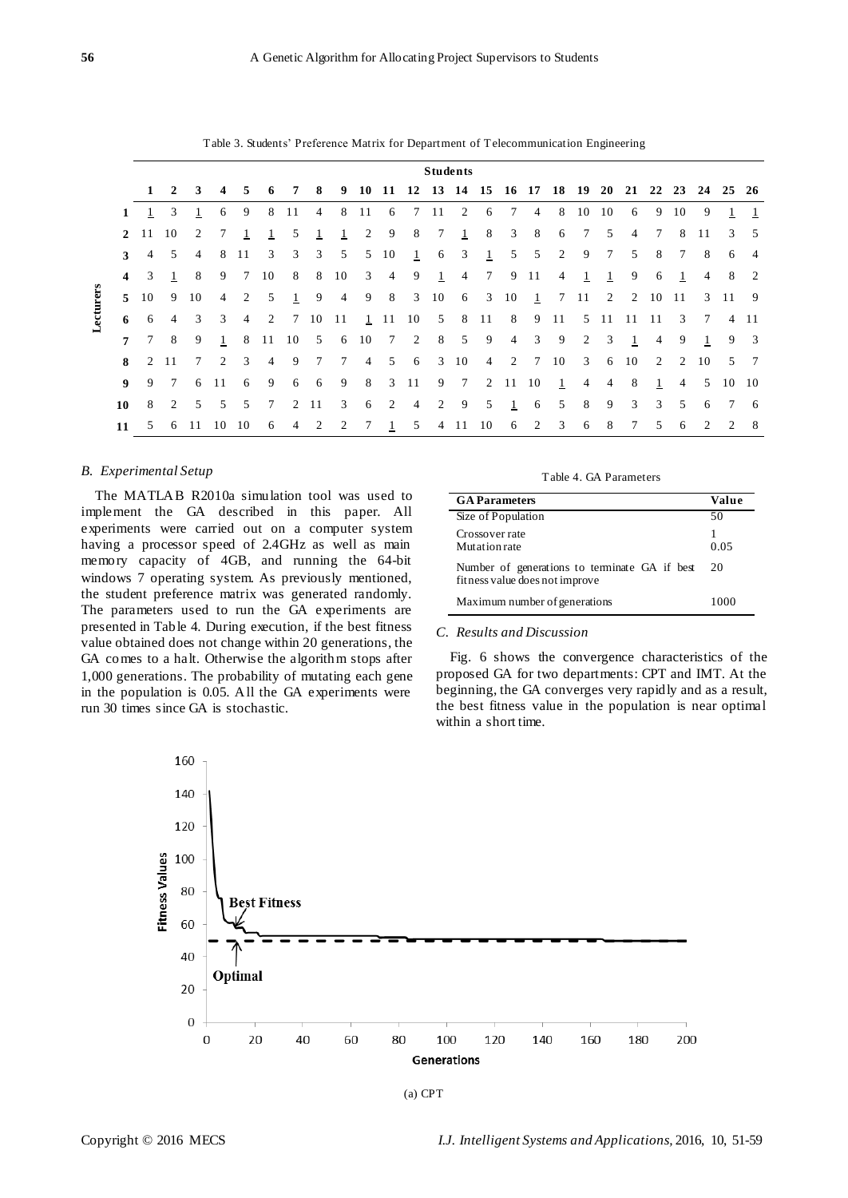|           |                |                              |                |                 |                |                |                |              |                 |                |                                                    |                 |                            |                | <b>Students</b> |                 |                |                |                |                |                 |                |                |                 |                 |              |                         |
|-----------|----------------|------------------------------|----------------|-----------------|----------------|----------------|----------------|--------------|-----------------|----------------|----------------------------------------------------|-----------------|----------------------------|----------------|-----------------|-----------------|----------------|----------------|----------------|----------------|-----------------|----------------|----------------|-----------------|-----------------|--------------|-------------------------|
|           |                |                              | $1\quad 2$     | 3               | 4              | 5              | 6              | 7            | 8               | 9              | 10 11 12 13 14 15 16 17 18 19 20 21 22 23 24 25 26 |                 |                            |                |                 |                 |                |                |                |                |                 |                |                |                 |                 |              |                         |
|           | 1              |                              | 3              | 1               | 6              | 9              | 8              | 11           | 4               | 8              | 11                                                 | 6               | 7                          | 11             | 2               | 6               | 7              | $\overline{4}$ | 8              | 10             | 10              | 6              | 9              | 10              | 9               |              |                         |
|           | $\overline{2}$ | 11                           | 10             | 2               | 7              |                |                | 5            |                 |                | 2                                                  | 9               | 8                          | 7              | $\mathbf{1}$    | 8               | 3              | 8              | 6              | $\tau$         | 5               | $\overline{4}$ | $\tau$         | 8               | 11              | 3            | - 5                     |
|           | 3              | $\overline{4}$               | 5              | $\overline{4}$  | 8              | 11             | 3              | 3            | 3               | 5              | 5                                                  | 10              | $\mathbf{1}$               | 6              | 3               | $\mathbf{1}$    | 5              | 5              | 2              | 9              | $7\phantom{.0}$ | 5              | 8              | $7\overline{ }$ | 8               | 6            | -4                      |
|           | $\overline{4}$ | 3                            | 1              | 8               | 9              | $\tau$         | 10             | 8            | 8               | 10             | 3                                                  | $\overline{4}$  | 9                          | $\mathbf{1}$   | $\overline{4}$  | $7\overline{ }$ | 9              | -11            | $\overline{4}$ | 1              | 1               | 9              | 6              | $\mathbf{1}$    | $\overline{4}$  | 8            | 2                       |
|           | $\mathbf{5}$   | 10                           | 9              | 10              | $\overline{4}$ | 2              | 5              | $\mathbf{1}$ | 9               | $\overline{4}$ | 9                                                  | 8               |                            | $3 \t10$       | 6               |                 | 3 10           | $\mathbf{1}$   |                | 7 11           | 2               |                | 2 10           | -11             |                 | $3 \quad 11$ | -9                      |
| Lecturers | 6              | 6                            | $\overline{4}$ | 3               | 3              | $\overline{4}$ | 2              |              | 7 10 11         |                | 1 11 10 5                                          |                 |                            |                |                 | 8 11            | 8              |                | 9 11           |                | 5 11 11         |                | - 11           | 3               | $7\overline{ }$ |              | 4 11                    |
|           | $\overline{7}$ | $7\phantom{.0}\phantom{.0}7$ | 8              | 9               | 1              | 8              | 11             | - 10         | 5               | 6              | 10                                                 | $7\overline{ }$ | $\overline{\phantom{a}}$ 2 | 8              | 5               | -9              | $\overline{4}$ | 3              | -9             | 2              | 3               | 1              | $\overline{4}$ | 9               |                 | 9            | $\overline{\mathbf{3}}$ |
|           | 8              |                              | 2 11           | $7\overline{ }$ | 2              | 3              | $\overline{4}$ | 9            | $7\overline{ }$ | 7              | $\overline{4}$                                     | 5               | 6                          | 3              | 10              | 4               |                | 2 7 10         |                | $\mathbf{3}$   | 6               | 10             | 2              | 2               | 10              |              | 5 7                     |
|           | $\mathbf{Q}$   | 9                            | 7              | 6               | 11             | 6              | 9              | 6            | 6               | 9              | 8                                                  |                 | $3 \quad 11$               | 9              | $\overline{7}$  |                 | 2 11 10        |                | $\mathbf{1}$   | $\overline{4}$ | $\overline{4}$  | 8              | $\mathbf{1}$   | $\overline{4}$  | 5               | 10           | - 10                    |
|           | 10             | 8                            | 2              | 5               | 5              | 5              | 7              | 2            | 11              | 3              | 6                                                  | 2               | 4                          | 2              | 9               | 5               | 1              | 6              | 5              | 8              | 9               | 3              | 3              | 5               | 6               |              | - 6                     |
|           | 11             | 5                            | 6              | 11              | 10             | 10             | 6              | 4            | 2               | 2              | 7                                                  | -1              | 5                          | $\overline{4}$ | -11             | 10              | 6              | 2              | 3              | 6              | 8               | 7              | 5              | 6               | 2               | 2            | -8                      |

Table 3. Students' Preference Matrix for Department of Telecommunication Engineering

## *B. Experimental Setup*

The MATLAB R2010a simulation tool was used to implement the GA described in this paper. All experiments were carried out on a computer system having a processor speed of 2.4GHz as well as main memory capacity of 4GB, and running the 64-bit windows 7 operating system. As previously mentioned, the student preference matrix was generated randomly. The parameters used to run the GA experiments are presented in Table 4. During execution, if the best fitness value obtained does not change within 20 generations, the GA comes to a halt. Otherwise the algorithm stops after 1,000 generations. The probability of mutating each gene in the population is 0.05. All the GA experiments were run 30 times since GA is stochastic.

## Table 4. GA Parameters

| <b>GA</b> Parameters                                                            | Value |
|---------------------------------------------------------------------------------|-------|
| Size of Population                                                              | 50    |
| Crossover rate<br>Mutation rate                                                 | 0.05  |
| Number of generations to terminate GA if best<br>fitness value does not improve | 20    |
| Maximum number of generations                                                   | 1000  |

# *C. Results and Discussion*

Fig. 6 shows the convergence characteristics of the proposed GA for two departments: CPT and IMT. At the beginning, the GA converges very rapidly and as a result, the best fitness value in the population is near optimal within a short time.



(a) CPT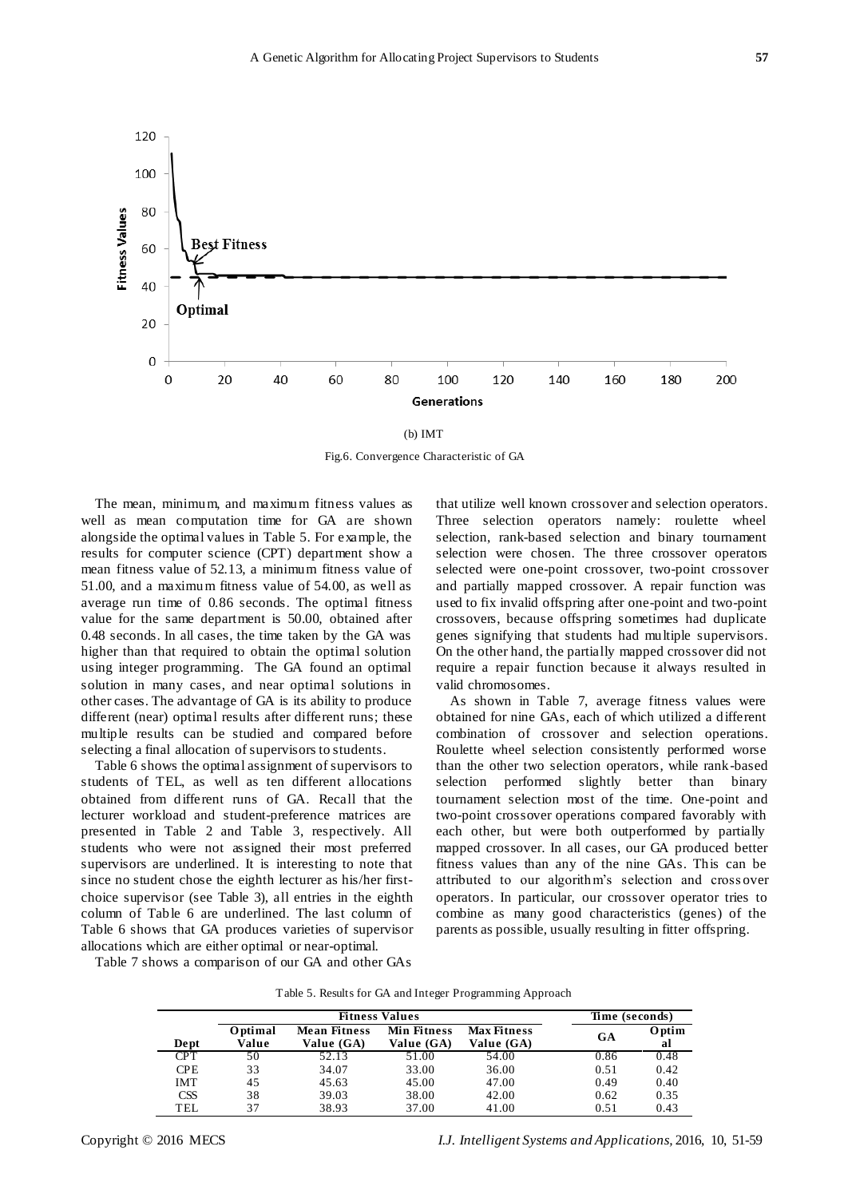

(b) IMT

Fig.6. Convergence Characteristic of GA

The mean, minimum, and maximum fitness values as well as mean computation time for GA are shown alongside the optimal values in Table 5. For example, the results for computer science (CPT) department show a mean fitness value of 52.13, a minimum fitness value of 51.00, and a maximum fitness value of 54.00, as well as average run time of 0.86 seconds. The optimal fitness value for the same department is 50.00, obtained after 0.48 seconds. In all cases, the time taken by the GA was higher than that required to obtain the optimal solution using integer programming. The GA found an optimal solution in many cases, and near optimal solutions in other cases. The advantage of GA is its ability to produce different (near) optimal results after different runs; these multiple results can be studied and compared before selecting a final allocation of supervisors to students.

Table 6 shows the optimal assignment of supervisors to students of TEL, as well as ten different allocations obtained from different runs of GA. Recall that the lecturer workload and student-preference matrices are presented in Table 2 and Table 3, respectively. All students who were not assigned their most preferred supervisors are underlined. It is interesting to note that since no student chose the eighth lecturer as his/her firstchoice supervisor (see Table 3), all entries in the eighth column of Table 6 are underlined. The last column of Table 6 shows that GA produces varieties of supervisor allocations which are either optimal or near-optimal.

that utilize well known crossover and selection operators. Three selection operators namely: roulette wheel selection, rank-based selection and binary tournament selection were chosen. The three crossover operators selected were one-point crossover, two-point crossover and partially mapped crossover. A repair function was used to fix invalid offspring after one-point and two-point crossovers, because offspring sometimes had duplicate genes signifying that students had multiple supervisors. On the other hand, the partially mapped crossover did not require a repair function because it always resulted in valid chromosomes.

As shown in Table 7, average fitness values were obtained for nine GAs, each of which utilized a different combination of crossover and selection operations. Roulette wheel selection consistently performed worse than the other two selection operators, while rank-based selection performed slightly better than binary tournament selection most of the time. One-point and two-point crossover operations compared favorably with each other, but were both outperformed by partially mapped crossover. In all cases, our GA produced better fitness values than any of the nine GAs. This can be attributed to our algorithm's selection and cross over operators. In particular, our crossover operator tries to combine as many good characteristics (genes) of the parents as possible, usually resulting in fitter offspring.

Table 7 shows a comparison of our GA and other GAs

| Table 5. Results for GA and Integer Programming Approach |  |  |  |  |
|----------------------------------------------------------|--|--|--|--|
|----------------------------------------------------------|--|--|--|--|

|            |                  | Time (seconds)                    |                           |                                  |      |                     |
|------------|------------------|-----------------------------------|---------------------------|----------------------------------|------|---------------------|
| Dept       | Optimal<br>Value | <b>Mean Fitness</b><br>Value (GA) | Min Fitness<br>Value (GA) | <b>Max Fitness</b><br>Value (GA) | GA   | <b>O</b> ptim<br>al |
| <b>CPT</b> | 50               | 52.13                             | 51.00                     | 54.00                            | 0.86 | 0.48                |
| CPE        | 33               | 34.07                             | 33.00                     | 36.00                            | 0.51 | 0.42                |
| IMT        | 45               | 45.63                             | 45.00                     | 47.00                            | 0.49 | 0.40                |
| <b>CSS</b> | 38               | 39.03                             | 38.00                     | 42.00                            | 0.62 | 0.35                |
| TEL        | 37               | 38.93                             | 37.00                     | 41.00                            | 0.51 | 0.43                |

Copyright © 2016 MECS *I.J. Intelligent Systems and Applications,* 2016, 10, 51-59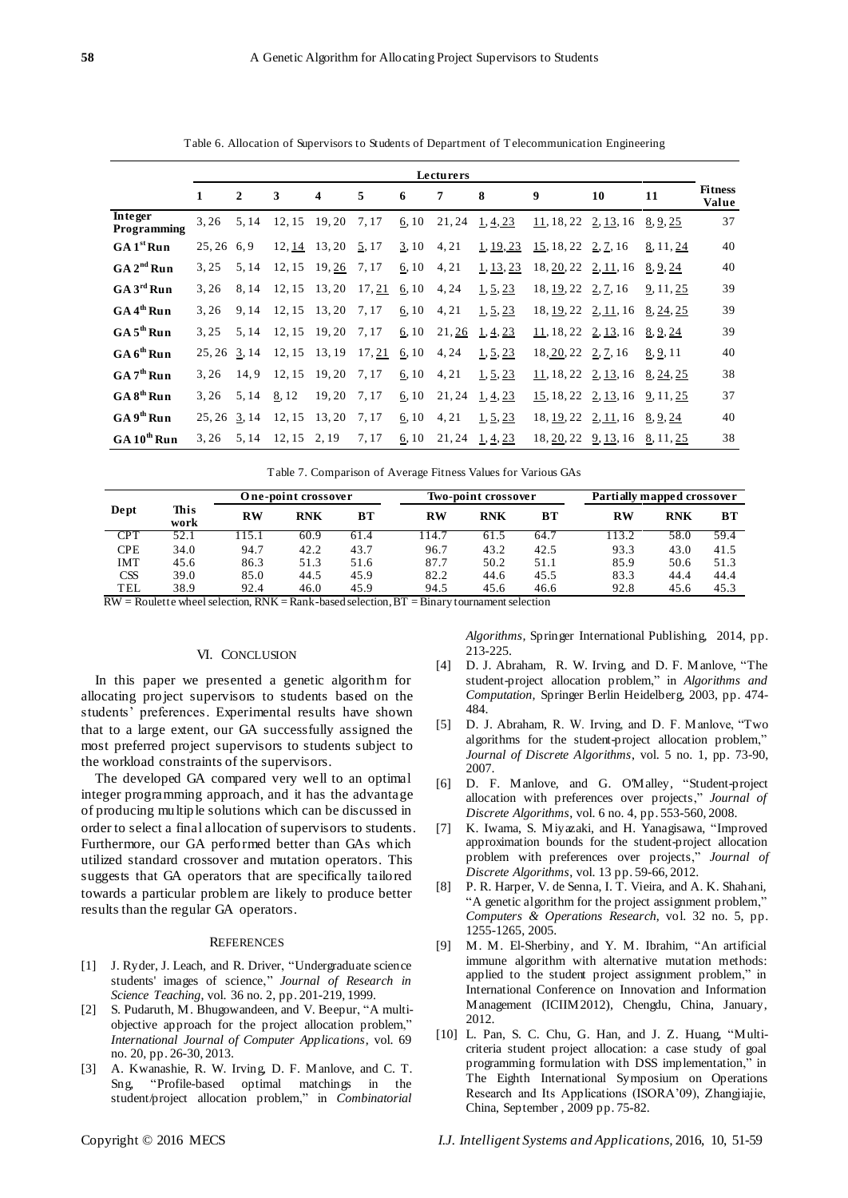|                         |              | Lecturers |        |                     |        |       |        |           |                                  |           |           |                         |
|-------------------------|--------------|-----------|--------|---------------------|--------|-------|--------|-----------|----------------------------------|-----------|-----------|-------------------------|
|                         | 1            | 2         | 3      | 4                   | 5      | 6     | 7      | 8         | 9                                | 10        | 11        | <b>Fitness</b><br>Value |
| Integer<br>Programming  | 3,26         | 5, 14     | 12, 15 | 19.20               | 7,17   | 6, 10 | 21,24  | 1, 4, 23  | 11, 18, 22                       | 2, 13, 16 | 8, 9, 25  | 37                      |
| GA1 <sup>st</sup> Run   | 25, 26       | 6.9       |        | 12, 14 13, 20 5, 17 |        | 3, 10 | 4, 21  | 1, 19, 23 | 15, 18, 22                       | 2, 7, 16  | 8, 11, 24 | 40                      |
| GA 2 <sup>nd</sup> Run  | 3.25         | 5, 14     | 12, 15 | 19, 26              | 7,17   | 6, 10 | 4, 21  | 1, 13, 23 | 18, 20, 22                       | 2, 11, 16 | 8, 9, 24  | 40                      |
| GA 3 <sup>rd</sup> Run  | 3.26         | 8.14      | 12, 15 | 13,20               | 17, 21 | 6, 10 | 4, 24  | 1, 5, 23  | 18, 19, 22, 2, 7, 16             |           | 9, 11, 25 | 39                      |
| GA 4 <sup>th</sup> Run  | 3.26         | 9,14      | 12, 15 | 13, 20              | 7, 17  | 6, 10 | 4, 21  | 1, 5, 23  | 18, 19, 22, 2, 11, 16, 8, 24, 25 |           |           | 39                      |
| GA 5 <sup>th</sup> Run  | 3.25         | 5.14      | 12, 15 | 19,20               | 7, 17  | 6, 10 | 21,26  | 1, 4, 23  | 11, 18, 22, 2, 13, 16, 8, 9, 24  |           |           | 39                      |
| $GA6^{\text{th}}$ Run   | 25, 26       | 3, 14     | 12, 15 | 13, 19              | 17, 21 | 6, 10 | 4, 24  | 1, 5, 23  | 18, 20, 22, 2, 7, 16             |           | 8, 9, 11  | 40                      |
| GA 7 <sup>th</sup> Run  | 3.26         | 14.9      | 12, 15 | 19,20               | 7, 17  | 6, 10 | 4, 21  | 1, 5, 23  | 11, 18, 22                       | 2, 13, 16 | 8, 24, 25 | 38                      |
| GA 8 <sup>th</sup> Run  | 3.26         | 5, 14     | 8,12   | 19,20               | 7,17   | 6, 10 | 21,24  | 1, 4, 23  | 15, 18, 22                       | 2, 13, 16 | 9, 11, 25 | 37                      |
| GA 9 <sup>th</sup> Run  | 25, 26 3, 14 |           | 12, 15 | 13, 20              | 7, 17  | 6, 10 | 4, 21  | 1, 5, 23  | 18, 19, 22, 2, 11, 16, 8, 9, 24  |           |           | 40                      |
| GA 10 <sup>th</sup> Run | 3.26         | 5.14      | 12, 15 | 2, 19               | 7, 17  | 6, 10 | 21, 24 | 1, 4, 23  | 18, 20, 22, 9, 13, 16, 8, 11, 25 |           |           | 38                      |

Table 6. Allocation of Supervisors to Students of Department of Telecommunication Engineering

|                        |              |                 | One-point crossover |      |       | Two-point crossover |      | Partially mapped crossover |            |      |
|------------------------|--------------|-----------------|---------------------|------|-------|---------------------|------|----------------------------|------------|------|
| Dept                   | This<br>work | RW              | <b>RNK</b>          | BТ   | RW    | <b>RNK</b>          | ΒТ   | RW                         | <b>RNK</b> | BТ   |
| CPT                    | 52.1         | 15.1            | 60.9                | 61.4 | 114.7 | 61.5                | 64.7 | 13.2                       | 58.0       | 59.4 |
| <b>CPE</b>             | 34.0         | 94.7            | 42.2                | 43.7 | 96.7  | 43.2                | 42.5 | 93.3                       | 43.0       | 41.5 |
| IMT                    | 45.6         | 86.3            | 51.3                | 51.6 | 87.7  | 50.2                | 51.1 | 85.9                       | 50.6       | 51.3 |
| <b>CSS</b>             | 39.0         | 85.0            | 44.5                | 45.9 | 82.2  | 44.6                | 45.5 | 83.3                       | 44.4       | 44.4 |
| <b>TEL</b><br>_ __ _ _ | 38.9         | 92.4<br>_ _ ___ | 46.0                | 45.9 | 94.5  | 45.6                | 46.6 | 92.8                       | 45.6       | 45.3 |

 $\overline{RW}$  = Roulette wheel selection,  $\overline{RNK}$  = Rank-based selection,  $\overline{BT}$  = Binary tournament selection

## VI. CONCLUSION

In this paper we presented a genetic algorithm for allocating project supervisors to students based on the students' preferences. Experimental results have shown that to a large extent, our GA successfully assigned the most preferred project supervisors to students subject to the workload constraints of the supervisors.

The developed GA compared very well to an optimal integer programming approach, and it has the advantage of producing multiple solutions which can be discussed in order to select a final allocation of supervisors to students. Furthermore, our GA performed better than GAs which utilized standard crossover and mutation operators. This suggests that GA operators that are specifically tailored towards a particular problem are likely to produce better results than the regular GA operators.

#### **REFERENCES**

- [1] J. Ryder, J. Leach, and R. Driver, "Undergraduate science students' images of science," *Journal of Research in Science Teaching*, vol. 36 no. 2, pp. 201-219, 1999.
- [2] S. Pudaruth, M. Bhugowandeen, and V. Beepur, "A multiobjective approach for the project allocation problem," *International Journal of Computer Applications*, vol. 69 no. 20, pp. 26-30, 2013.
- [3] A. Kwanashie, R. W. Irving, D. F. Manlove, and C. T. Sng, "Profile-based optimal matchings in the student/project allocation problem," in *Combinatorial*

*Algorithms,* Springer International Publishing, 2014, pp. 213-225.

- [4] D. J. Abraham, R. W. Irving, and D. F. Manlove, "The student-project allocation problem," in *Algorithms and Computation,* Springer Berlin Heidelberg, 2003, pp. 474- 484.
- [5] D. J. Abraham, R. W. Irving, and D. F. Manlove, "Two algorithms for the student-project allocation problem," *Journal of Discrete Algorithms*, vol. 5 no. 1, pp. 73-90, 2007.
- [6] D. F. Manlove, and G. O'Malley, "Student-project allocation with preferences over projects," *Journal of Discrete Algorithms*, vol. 6 no. 4, pp. 553-560, 2008.
- [7] K. Iwama, S. Miyazaki, and H. Yanagisawa, "Improved approximation bounds for the student-project allocation problem with preferences over projects," *Journal of Discrete Algorithms*, vol. 13 pp. 59-66, 2012.
- [8] P. R. Harper, V. de Senna, I. T. Vieira, and A. K. Shahani, "A genetic algorithm for the project assignment problem," *Computers & Operations Research*, vol. 32 no. 5, pp. 1255-1265, 2005.
- [9] M. M. El-Sherbiny, and Y. M. Ibrahim, "An artificial immune algorithm with alternative mutation methods: applied to the student project assignment problem," in International Conference on Innovation and Information Management (ICIIM2012), Chengdu, China, January, 2012.
- [10] L. Pan, S. C. Chu, G. Han, and J. Z. Huang, "Multicriteria student project allocation: a case study of goal programming formulation with DSS implementation," in The Eighth International Symposium on Operations Research and Its Applications (ISORA'09), Zhangjiajie, China, September , 2009 pp. 75-82.